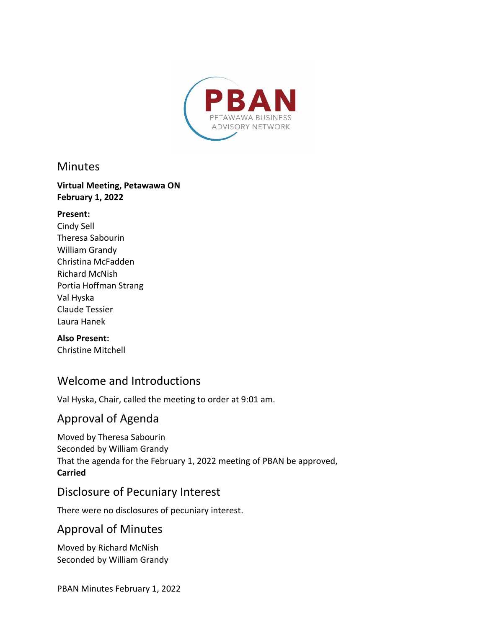

#### **Minutes**

#### **Virtual Meeting, Petawawa ON February 1, 2022**

#### **Present:**

Cindy Sell Theresa Sabourin William Grandy Christina McFadden Richard McNish Portia Hoffman Strang Val Hyska Claude Tessier Laura Hanek

#### **Also Present:**

Christine Mitchell

## Welcome and Introductions

Val Hyska, Chair, called the meeting to order at 9:01 am.

## Approval of Agenda

Moved by Theresa Sabourin Seconded by William Grandy That the agenda for the February 1, 2022 meeting of PBAN be approved, **Carried**

## Disclosure of Pecuniary Interest

There were no disclosures of pecuniary interest.

## Approval of Minutes

Moved by Richard McNish Seconded by William Grandy

PBAN Minutes February 1, 2022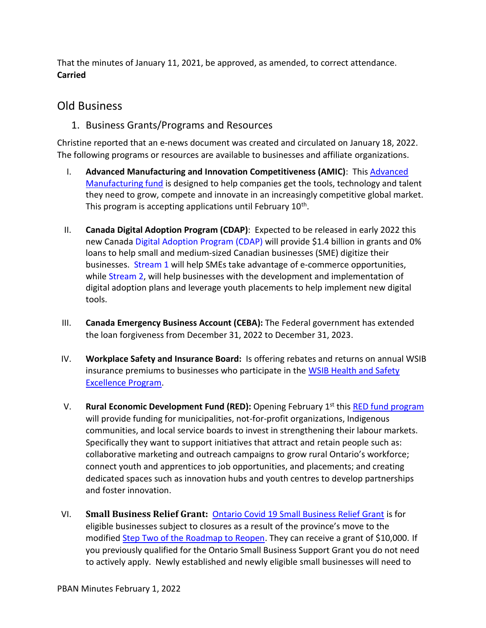That the minutes of January 11, 2021, be approved, as amended, to correct attendance. **Carried**

#### Old Business

1. Business Grants/Programs and Resources

Christine reported that an e-news document was created and circulated on January 18, 2022. The following programs or resources are available to businesses and affiliate organizations.

- I. **Advanced Manufacturing and Innovation Competitiveness (AMIC)**: This [Advanced](https://www.ontario.ca/page/regional-development-program-advanced-manufacturing-and-innovation-competitiveness-stream)  [Manufacturing fund](https://www.ontario.ca/page/regional-development-program-advanced-manufacturing-and-innovation-competitiveness-stream) is designed to help companies get the tools, technology and talent they need to grow, compete and innovate in an increasingly competitive global market. This program is accepting applications until February  $10^{th}$ .
- II. **Canada Digital Adoption Program (CDAP)**: Expected to be released in early 2022 this new Canada Digital [Adoption](https://www.ic.gc.ca/eic/site/152.nsf/eng/home) Program (CDAP) will provide \$1.4 billion in grants and 0% loans to help small and medium-sized Canadian businesses (SME) digitize their businesses. [Stream](https://www.ic.gc.ca/eic/site/152.nsf/eng/00011.html) 1 will help SMEs take advantage of e-commerce opportunities, while [Stream](https://www.ic.gc.ca/eic/site/152.nsf/eng/00013.html) 2, will help businesses with the development and implementation of digital adoption plans and leverage youth placements to help implement new digital tools.
- III. **Canada Emergency Business Account (CEBA):** The Federal government has extended the loan forgiveness from December 31, 2022 to December 31, 2023.
- IV. **Workplace Safety and Insurance Board:** Is offering rebates and returns on annual WSIB insurance premiums to businesses who participate in the [WSIB Health and Safety](https://www.wsps.ca/wsib-health-safety-excellence-program)  [Excellence Program.](https://www.wsps.ca/wsib-health-safety-excellence-program)
- V. **Rural Economic Development Fund (RED):** Opening February 1<sup>st</sup> this [RED fund program](https://www.ontario.ca/page/rural-economic-development-program) will provide funding for municipalities, not-for-profit organizations, Indigenous communities, and local service boards to invest in strengthening their labour markets. Specifically they want to support initiatives that attract and retain people such as: collaborative marketing and outreach campaigns to grow rural Ontario's workforce; connect youth and apprentices to job opportunities, and placements; and creating dedicated spaces such as innovation hubs and youth centres to develop partnerships and foster innovation.
- VI. **Small Business Relief Grant:** [Ontario Covid 19 Small Business Relief Grant](https://www.ontario.ca/page/businesses-get-help-covid-19-costs) is for eligible businesses subject to closures as a result of the province's move to the modified [Step Two of the Roadmap to Reopen.](https://news.ontario.ca/en/release/1001394/ontario-temporarily-moving-to-modified-step-two-of-the-roadmap-to-reopen) They can receive a grant of \$10,000. If you previously qualified for the Ontario Small Business Support Grant you do not need to actively apply. Newly established and newly eligible small businesses will need to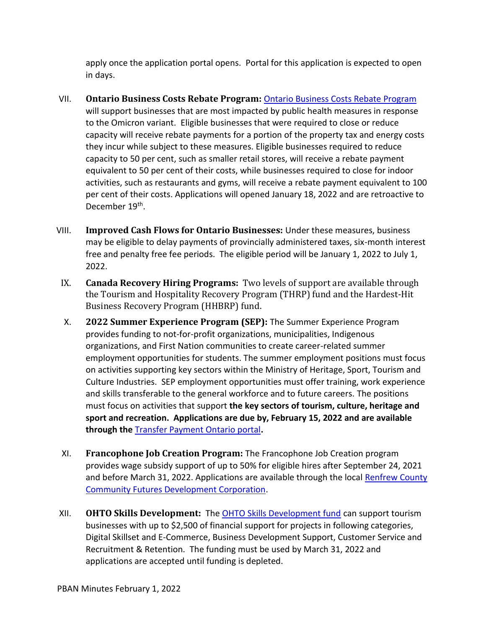apply once the application portal opens. Portal for this application is expected to open in days.

- VII. **Ontario Business Costs Rebate Program:** [Ontario Business Costs Rebate Program](https://www.ontario.ca/page/businesses-get-help-covid-19-costs#section-1) will support businesses that are most impacted by public health measures in response to the Omicron variant. Eligible businesses that were required to close or reduce capacity will receive rebate payments for a portion of the property tax and energy costs they incur while subject to these measures. Eligible businesses required to reduce capacity to 50 per cent, such as smaller retail stores, will receive a rebate payment equivalent to 50 per cent of their costs, while businesses required to close for indoor activities, such as restaurants and gyms, will receive a rebate payment equivalent to 100 per cent of their costs. Applications will opened January 18, 2022 and are retroactive to December 19<sup>th</sup>.
- VIII. **Improved Cash Flows for Ontario Businesses:** Under these measures, business may be eligible to delay payments of provincially administered taxes, six-month interest free and penalty free fee periods. The eligible period will be January 1, 2022 to July 1, 2022.
- IX. **Canada Recovery Hiring Programs:** Two levels of support are available through the Tourism and Hospitality Recovery Program (THRP) fund and the Hardest-Hit Business Recovery Program (HHBRP) fund.
- X. **2022 Summer Experience Program (SEP):** The Summer Experience Program provides funding to not-for-profit organizations, municipalities, Indigenous organizations, and First Nation communities to create career-related summer employment opportunities for students. The summer employment positions must focus on activities supporting key sectors within the Ministry of Heritage, Sport, Tourism and Culture Industries. SEP employment opportunities must offer training, work experience and skills transferable to the general workforce and to future careers. The positions must focus on activities that support **the key sectors of tourism, culture, heritage and sport and recreation. Applications are due by, February 15, 2022 and are available through the** [Transfer Payment Ontario portal](https://www.app.grants.gov.on.ca/gr/tpcr/#/externalLogin)**.**
- XI. **Francophone Job Creation Program:** The Francophone Job Creation program provides wage subsidy support of up to 50% for eligible hires after September 24, 2021 and before March 31, 2022. Applications are available through the local [Renfrew County](https://www.facebook.com/R.C.CommunityFutures)  [Community Futures Development Corporation.](https://www.facebook.com/R.C.CommunityFutures)
- XII. **OHTO Skills Development:** The [OHTO Skills Development fund](https://comewander.ca/app/uploads/2021/09/TRIP-Skills-Development-Guidelines-2021-22-FINAL.pdf) can support tourism businesses with up to \$2,500 of financial support for projects in following categories, Digital Skillset and E-Commerce, Business Development Support, Customer Service and Recruitment & Retention. The funding must be used by March 31, 2022 and applications are accepted until funding is depleted.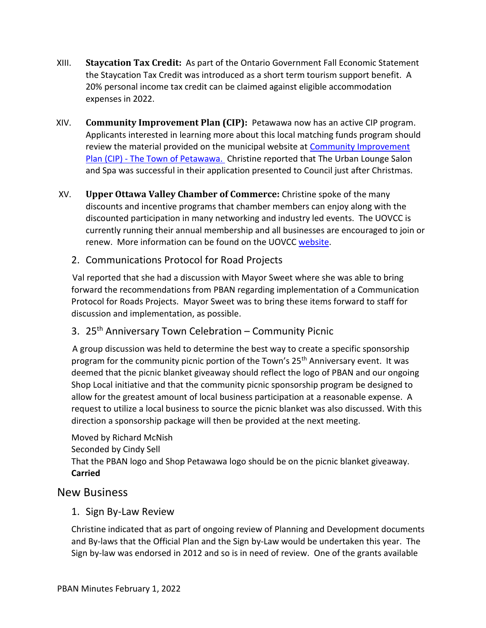- XIII. **Staycation Tax Credit:** As part of the Ontario Government Fall Economic Statement the Staycation Tax Credit was introduced as a short term tourism support benefit. A 20% personal income tax credit can be claimed against eligible accommodation expenses in 2022.
- XIV. **Community Improvement Plan (CIP):** Petawawa now has an active CIP program. Applicants interested in learning more about this local matching funds program should review the material provided on the municipal website at Community Improvement Plan (CIP) - [The Town of Petawawa.](https://www.petawawa.ca/business/economic-development/community-improvement-plan-cip/) Christine reported that The Urban Lounge Salon and Spa was successful in their application presented to Council just after Christmas.
- XV. **Upper Ottawa Valley Chamber of Commerce:** Christine spoke of the many discounts and incentive programs that chamber members can enjoy along with the discounted participation in many networking and industry led events. The UOVCC is currently running their annual membership and all businesses are encouraged to join or renew. More information can be found on the UOVCC [website.](https://www.upperottawavalleychamber.com/)
	- 2. Communications Protocol for Road Projects

Val reported that she had a discussion with Mayor Sweet where she was able to bring forward the recommendations from PBAN regarding implementation of a Communication Protocol for Roads Projects. Mayor Sweet was to bring these items forward to staff for discussion and implementation, as possible.

3. 25th Anniversary Town Celebration – Community Picnic

A group discussion was held to determine the best way to create a specific sponsorship program for the community picnic portion of the Town's 25<sup>th</sup> Anniversary event. It was deemed that the picnic blanket giveaway should reflect the logo of PBAN and our ongoing Shop Local initiative and that the community picnic sponsorship program be designed to allow for the greatest amount of local business participation at a reasonable expense. A request to utilize a local business to source the picnic blanket was also discussed. With this direction a sponsorship package will then be provided at the next meeting.

Moved by Richard McNish Seconded by Cindy Sell That the PBAN logo and Shop Petawawa logo should be on the picnic blanket giveaway. **Carried**

#### New Business

#### 1. Sign By-Law Review

Christine indicated that as part of ongoing review of Planning and Development documents and By-laws that the Official Plan and the Sign by-Law would be undertaken this year. The Sign by-law was endorsed in 2012 and so is in need of review. One of the grants available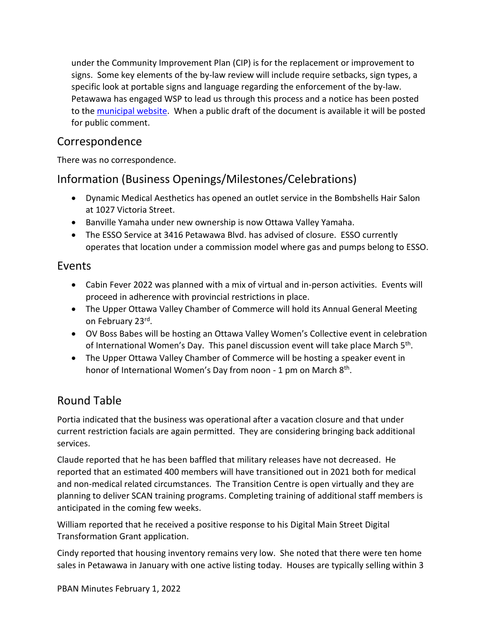under the Community Improvement Plan (CIP) is for the replacement or improvement to signs. Some key elements of the by-law review will include require setbacks, sign types, a specific look at portable signs and language regarding the enforcement of the by-law. Petawawa has engaged WSP to lead us through this process and a notice has been posted to the [municipal website.](https://www.petawawa.ca/business/building-department/municipal-sign-by-law-under-review-4207.html) When a public draft of the document is available it will be posted for public comment.

## Correspondence

There was no correspondence.

# Information (Business Openings/Milestones/Celebrations)

- · Dynamic Medical Aesthetics has opened an outlet service in the Bombshells Hair Salon at 1027 Victoria Street.
- · Banville Yamaha under new ownership is now Ottawa Valley Yamaha.
- · The ESSO Service at 3416 Petawawa Blvd. has advised of closure. ESSO currently operates that location under a commission model where gas and pumps belong to ESSO.

#### Events

- · Cabin Fever 2022 was planned with a mix of virtual and in-person activities. Events will proceed in adherence with provincial restrictions in place.
- · The Upper Ottawa Valley Chamber of Commerce will hold its Annual General Meeting on February 23<sup>rd</sup>.
- · OV Boss Babes will be hosting an Ottawa Valley Women's Collective event in celebration of International Women's Day. This panel discussion event will take place March 5<sup>th</sup>.
- The Upper Ottawa Valley Chamber of Commerce will be hosting a speaker event in honor of International Women's Day from noon - 1 pm on March 8<sup>th</sup>.

# Round Table

Portia indicated that the business was operational after a vacation closure and that under current restriction facials are again permitted. They are considering bringing back additional services.

Claude reported that he has been baffled that military releases have not decreased. He reported that an estimated 400 members will have transitioned out in 2021 both for medical and non-medical related circumstances. The Transition Centre is open virtually and they are planning to deliver SCAN training programs. Completing training of additional staff members is anticipated in the coming few weeks.

William reported that he received a positive response to his Digital Main Street Digital Transformation Grant application.

Cindy reported that housing inventory remains very low. She noted that there were ten home sales in Petawawa in January with one active listing today. Houses are typically selling within 3